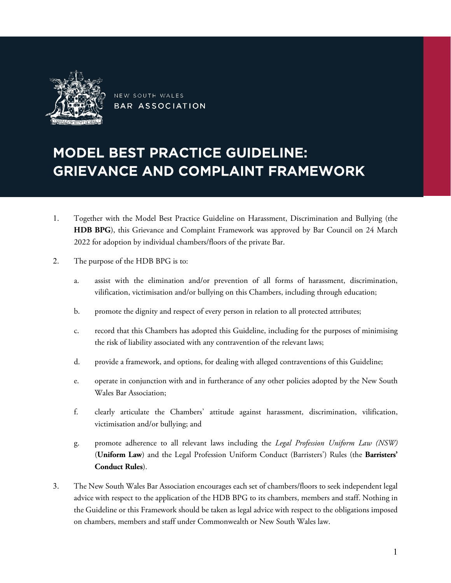

NEW SOUTH WALES BAR ASSOCIATION

# MODEL BEST PRACTICE GUIDELINE: GRIEVANCE AND COMPLAINT FRAMEWORK

- 1. Together with the Model Best Practice Guideline on Harassment, Discrimination and Bullying (the **HDB BPG**), this Grievance and Complaint Framework was approved by Bar Council on 24 March 2022 for adoption by individual chambers/floors of the private Bar.
- 2. The purpose of the HDB BPG is to:
	- a. assist with the elimination and/or prevention of all forms of harassment, discrimination, vilification, victimisation and/or bullying on this Chambers, including through education;
	- b. promote the dignity and respect of every person in relation to all protected attributes;
	- c. record that this Chambers has adopted this Guideline, including for the purposes of minimising the risk of liability associated with any contravention of the relevant laws;
	- d. provide a framework, and options, for dealing with alleged contraventions of this Guideline;
	- e. operate in conjunction with and in furtherance of any other policies adopted by the New South Wales Bar Association;
	- f. clearly articulate the Chambers' attitude against harassment, discrimination, vilification, victimisation and/or bullying; and
	- g. promote adherence to all relevant laws including the *Legal Profession Uniform Law (NSW)*  (**Uniform Law**) and the Legal Profession Uniform Conduct (Barristers') Rules (the **Barristers' Conduct Rules**).
- 3. The New South Wales Bar Association encourages each set of chambers/floors to seek independent legal advice with respect to the application of the HDB BPG to its chambers, members and staff. Nothing in the Guideline or this Framework should be taken as legal advice with respect to the obligations imposed on chambers, members and staff under Commonwealth or New South Wales law.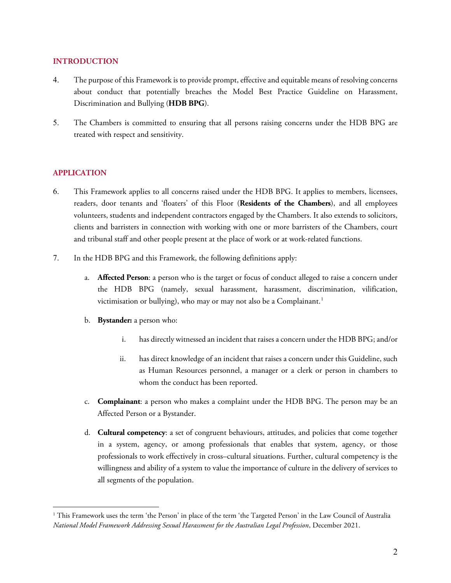## **INTRODUCTION**

- 4. The purpose of this Framework is to provide prompt, effective and equitable means of resolving concerns about conduct that potentially breaches the Model Best Practice Guideline on Harassment, Discrimination and Bullying (**HDB BPG**).
- 5. The Chambers is committed to ensuring that all persons raising concerns under the HDB BPG are treated with respect and sensitivity.

# **APPLICATION**

 $\overline{a}$ 

- 6. This Framework applies to all concerns raised under the HDB BPG. It applies to members, licensees, readers, door tenants and 'floaters' of this Floor (**Residents of the Chambers**), and all employees volunteers, students and independent contractors engaged by the Chambers. It also extends to solicitors, clients and barristers in connection with working with one or more barristers of the Chambers, court and tribunal staff and other people present at the place of work or at work-related functions.
- 7. In the HDB BPG and this Framework, the following definitions apply:
	- a. **Affected Person**: a person who is the target or focus of conduct alleged to raise a concern under the HDB BPG (namely, sexual harassment, harassment, discrimination, vilification, victimisation or bullying), who may or may not also be a Complainant.<sup>[1](#page-1-0)</sup>
	- b. **Bystander:** a person who:
		- i. has directly witnessed an incident that raises a concern under the HDB BPG; and/or
		- ii. has direct knowledge of an incident that raises a concern under this Guideline, such as Human Resources personnel, a manager or a clerk or person in chambers to whom the conduct has been reported.
	- c. **Complainant**: a person who makes a complaint under the HDB BPG. The person may be an Affected Person or a Bystander.
	- d. **Cultural competency**: a set of congruent behaviours, attitudes, and policies that come together in a system, agency, or among professionals that enables that system, agency, or those professionals to work effectively in cross–cultural situations. Further, cultural competency is the willingness and ability of a system to value the importance of culture in the delivery of services to all segments of the population.

<span id="page-1-0"></span><sup>&</sup>lt;sup>1</sup> This Framework uses the term 'the Person' in place of the term 'the Targeted Person' in the Law Council of Australia *National Model Framework Addressing Sexual Harassment for the Australian Legal Profession*, December 2021.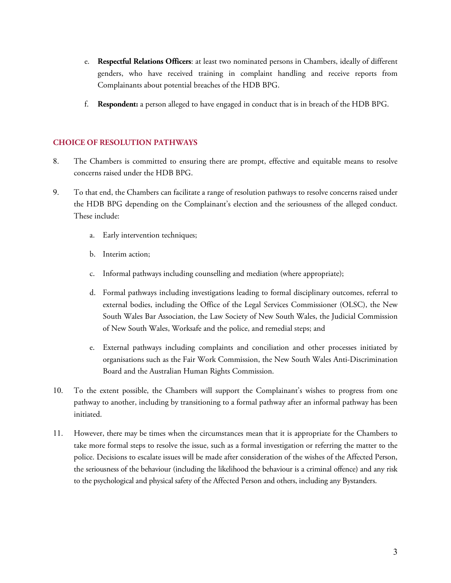- e. **Respectful Relations Officers**: at least two nominated persons in Chambers, ideally of different genders, who have received training in complaint handling and receive reports from Complainants about potential breaches of the HDB BPG.
- f. **Respondent:** a person alleged to have engaged in conduct that is in breach of the HDB BPG.

## **CHOICE OF RESOLUTION PATHWAYS**

- 8. The Chambers is committed to ensuring there are prompt, effective and equitable means to resolve concerns raised under the HDB BPG.
- 9. To that end, the Chambers can facilitate a range of resolution pathways to resolve concerns raised under the HDB BPG depending on the Complainant's election and the seriousness of the alleged conduct. These include:
	- a. Early intervention techniques;
	- b. Interim action;
	- c. Informal pathways including counselling and mediation (where appropriate);
	- d. Formal pathways including investigations leading to formal disciplinary outcomes, referral to external bodies, including the Office of the Legal Services Commissioner (OLSC), the New South Wales Bar Association, the Law Society of New South Wales, the Judicial Commission of New South Wales, Worksafe and the police, and remedial steps; and
	- e. External pathways including complaints and conciliation and other processes initiated by organisations such as the Fair Work Commission, the New South Wales Anti-Discrimination Board and the Australian Human Rights Commission.
- 10. To the extent possible, the Chambers will support the Complainant's wishes to progress from one pathway to another, including by transitioning to a formal pathway after an informal pathway has been initiated.
- 11. However, there may be times when the circumstances mean that it is appropriate for the Chambers to take more formal steps to resolve the issue, such as a formal investigation or referring the matter to the police. Decisions to escalate issues will be made after consideration of the wishes of the Affected Person, the seriousness of the behaviour (including the likelihood the behaviour is a criminal offence) and any risk to the psychological and physical safety of the Affected Person and others, including any Bystanders.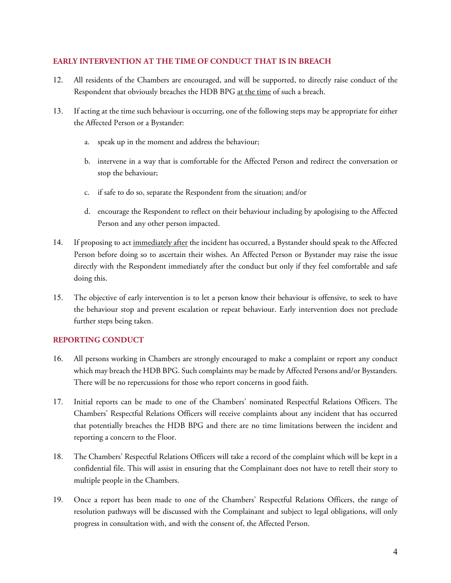# **EARLY INTERVENTION AT THE TIME OF CONDUCT THAT IS IN BREACH**

- 12. All residents of the Chambers are encouraged, and will be supported, to directly raise conduct of the Respondent that obviously breaches the HDB BPG at the time of such a breach.
- 13. If acting at the time such behaviour is occurring, one of the following steps may be appropriate for either the Affected Person or a Bystander:
	- a. speak up in the moment and address the behaviour;
	- b. intervene in a way that is comfortable for the Affected Person and redirect the conversation or stop the behaviour;
	- c. if safe to do so, separate the Respondent from the situation; and/or
	- d. encourage the Respondent to reflect on their behaviour including by apologising to the Affected Person and any other person impacted.
- 14. If proposing to act immediately after the incident has occurred, a Bystander should speak to the Affected Person before doing so to ascertain their wishes. An Affected Person or Bystander may raise the issue directly with the Respondent immediately after the conduct but only if they feel comfortable and safe doing this.
- 15. The objective of early intervention is to let a person know their behaviour is offensive, to seek to have the behaviour stop and prevent escalation or repeat behaviour. Early intervention does not preclude further steps being taken.

# **REPORTING CONDUCT**

- 16. All persons working in Chambers are strongly encouraged to make a complaint or report any conduct which may breach the HDB BPG. Such complaints may be made by Affected Persons and/or Bystanders. There will be no repercussions for those who report concerns in good faith.
- 17. Initial reports can be made to one of the Chambers' nominated Respectful Relations Officers. The Chambers' Respectful Relations Officers will receive complaints about any incident that has occurred that potentially breaches the HDB BPG and there are no time limitations between the incident and reporting a concern to the Floor.
- 18. The Chambers' Respectful Relations Officers will take a record of the complaint which will be kept in a confidential file. This will assist in ensuring that the Complainant does not have to retell their story to multiple people in the Chambers.
- 19. Once a report has been made to one of the Chambers' Respectful Relations Officers, the range of resolution pathways will be discussed with the Complainant and subject to legal obligations, will only progress in consultation with, and with the consent of, the Affected Person.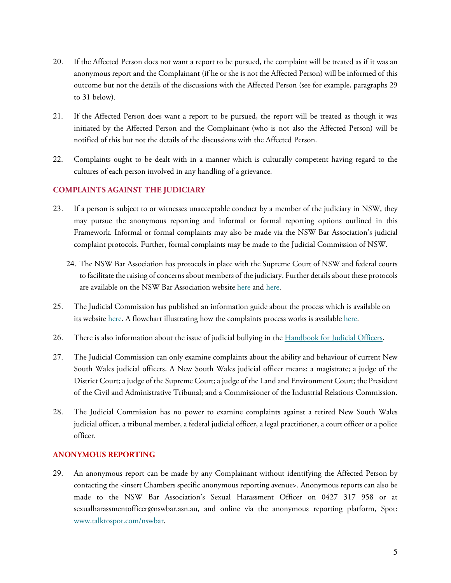- 20. If the Affected Person does not want a report to be pursued, the complaint will be treated as if it was an anonymous report and the Complainant (if he or she is not the Affected Person) will be informed of this outcome but not the details of the discussions with the Affected Person (see for example, paragraphs [29](#page-4-0) to [31](#page-5-0) below).
- 21. If the Affected Person does want a report to be pursued, the report will be treated as though it was initiated by the Affected Person and the Complainant (who is not also the Affected Person) will be notified of this but not the details of the discussions with the Affected Person.
- 22. Complaints ought to be dealt with in a manner which is culturally competent having regard to the cultures of each person involved in any handling of a grievance.

# **COMPLAINTS AGAINST THE JUDICIARY**

- 23. If a person is subject to or witnesses unacceptable conduct by a member of the judiciary in NSW, they may pursue the anonymous reporting and informal or formal reporting options outlined in this Framework. Informal or formal complaints may also be made via the NSW Bar Association's judicial complaint protocols. Further, formal complaints may be made to the Judicial Commission of NSW.
	- 24. The NSW Bar Association has protocols in place with the Supreme Court of NSW and federal courts to facilitate the raising of concerns about members of the judiciary. Further details about these protocols are available on the NSW Bar Association website [here](https://nswbar.asn.au/uploads/pdf-documents/Complaints_of_Judicial_Conduct.pdf) and [here.](https://inbrief.nswbar.asn.au/posts/08b347d11316f1372f3414b4c42c8271/attachment/Letter%20to%20Members%20re%20Judicial%20Conduct%20including%20attachments.pdf)
- 25. The Judicial Commission has published an information guide about the process which is available on its website [here.](https://www.judcom.nsw.gov.au/wp-content/uploads/2014/07/how-the-complaints-process-works.pdf) A flowchart illustrating how the complaints process works is available here.
- 26. There is also information about the issue of judicial bullying in the [Handbook for Judicial Officers.](https://www.judcom.nsw.gov.au/publications/benchbks/judicial_officers/judicial_bullying_view_from_the_bar.html#d6e10252)
- 27. The Judicial Commission can only examine complaints about the ability and behaviour of current New South Wales judicial officers. A New South Wales judicial officer means: a magistrate; a judge of the District Court; a judge of the Supreme Court; a judge of the Land and Environment Court; the President of the Civil and Administrative Tribunal; and a Commissioner of the Industrial Relations Commission.
- 28. The Judicial Commission has no power to examine complaints against a retired New South Wales judicial officer, a tribunal member, a federal judicial officer, a legal practitioner, a court officer or a police officer.

#### **ANONYMOUS REPORTING**

<span id="page-4-0"></span>29. An anonymous report can be made by any Complainant without identifying the Affected Person by contacting the <insert Chambers specific anonymous reporting avenue>. Anonymous reports can also be made to the NSW Bar Association's Sexual Harassment Officer on 0427 317 958 or at sexualharassmentofficer@nswbar.asn.au, and online via the anonymous reporting platform, Spot: [www.talktospot.com/nswbar.](http://www.talktospot.com/nswbar)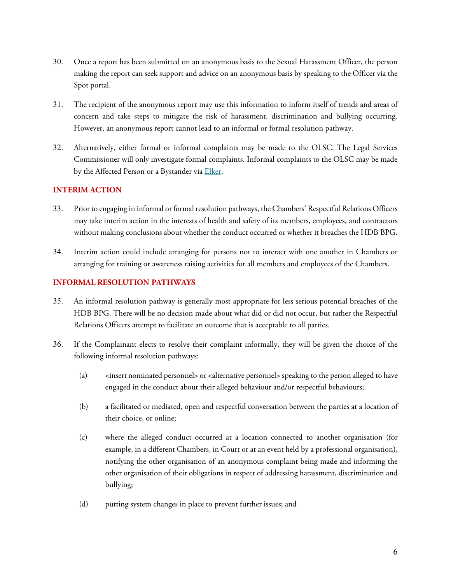- 30. Once a report has been submitted on an anonymous basis to the Sexual Harassment Officer, the person making the report can seek support and advice on an anonymous basis by speaking to the Officer via the Spot portal.
- <span id="page-5-0"></span>31. The recipient of the anonymous report may use this information to inform itself of trends and areas of concern and take steps to mitigate the risk of harassment, discrimination and bullying occurring. However, an anonymous report cannot lead to an informal or formal resolution pathway.
- 32. Alternatively, either formal or informal complaints may be made to the OLSC. The Legal Services Commissioner will only investigate formal complaints. Informal complaints to the OLSC may be made by the Affected Person or a Bystander via [Elker.](https://olsc.elker.com/report)

# **INTERIM ACTION**

- 33. Prior to engaging in informal or formal resolution pathways, the Chambers' Respectful Relations Officers may take interim action in the interests of health and safety of its members, employees, and contractors without making conclusions about whether the conduct occurred or whether it breaches the HDB BPG.
- 34. Interim action could include arranging for persons not to interact with one another in Chambers or arranging for training or awareness raising activities for all members and employees of the Chambers.

# **INFORMAL RESOLUTION PATHWAYS**

- 35. An informal resolution pathway is generally most appropriate for less serious potential breaches of the HDB BPG. There will be no decision made about what did or did not occur, but rather the Respectful Relations Officers attempt to facilitate an outcome that is acceptable to all parties.
- 36. If the Complainant elects to resolve their complaint informally, they will be given the choice of the following informal resolution pathways:
	- (a)  $\leq$  <insert nominated personnel> or <alternative personnel> speaking to the person alleged to have engaged in the conduct about their alleged behaviour and/or respectful behaviours;
	- (b) a facilitated or mediated, open and respectful conversation between the parties at a location of their choice, or online;
	- (c) where the alleged conduct occurred at a location connected to another organisation (for example, in a different Chambers, in Court or at an event held by a professional organisation), notifying the other organisation of an anonymous complaint being made and informing the other organisation of their obligations in respect of addressing harassment, discrimination and bullying;
	- (d) putting system changes in place to prevent further issues; and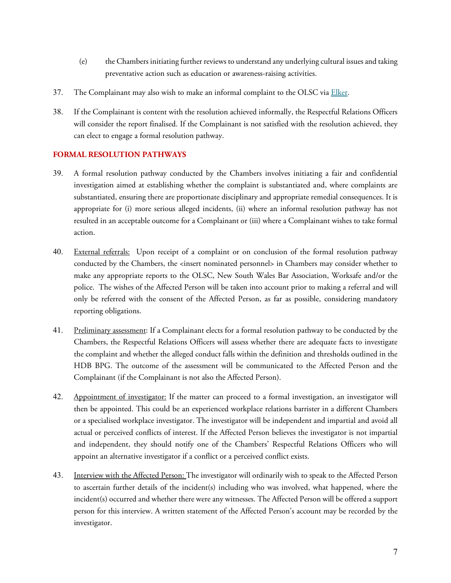- (e) the Chambers initiating further reviews to understand any underlying cultural issues and taking preventative action such as education or awareness-raising activities.
- 37. The Complainant may also wish to make an informal complaint to the OLSC via [Elker.](https://olsc.elker.com/report)
- 38. If the Complainant is content with the resolution achieved informally, the Respectful Relations Officers will consider the report finalised. If the Complainant is not satisfied with the resolution achieved, they can elect to engage a formal resolution pathway.

# **FORMAL RESOLUTION PATHWAYS**

- 39. A formal resolution pathway conducted by the Chambers involves initiating a fair and confidential investigation aimed at establishing whether the complaint is substantiated and, where complaints are substantiated, ensuring there are proportionate disciplinary and appropriate remedial consequences. It is appropriate for (i) more serious alleged incidents, (ii) where an informal resolution pathway has not resulted in an acceptable outcome for a Complainant or (iii) where a Complainant wishes to take formal action.
- 40. External referrals: Upon receipt of a complaint or on conclusion of the formal resolution pathway conducted by the Chambers, the <insert nominated personnel> in Chambers may consider whether to make any appropriate reports to the OLSC, New South Wales Bar Association, Worksafe and/or the police. The wishes of the Affected Person will be taken into account prior to making a referral and will only be referred with the consent of the Affected Person, as far as possible, considering mandatory reporting obligations.
- 41. Preliminary assessment: If a Complainant elects for a formal resolution pathway to be conducted by the Chambers, the Respectful Relations Officers will assess whether there are adequate facts to investigate the complaint and whether the alleged conduct falls within the definition and thresholds outlined in the HDB BPG. The outcome of the assessment will be communicated to the Affected Person and the Complainant (if the Complainant is not also the Affected Person).
- 42. Appointment of investigator: If the matter can proceed to a formal investigation, an investigator will then be appointed. This could be an experienced workplace relations barrister in a different Chambers or a specialised workplace investigator. The investigator will be independent and impartial and avoid all actual or perceived conflicts of interest. If the Affected Person believes the investigator is not impartial and independent, they should notify one of the Chambers' Respectful Relations Officers who will appoint an alternative investigator if a conflict or a perceived conflict exists.
- 43. Interview with the Affected Person: The investigator will ordinarily wish to speak to the Affected Person to ascertain further details of the incident(s) including who was involved, what happened, where the incident(s) occurred and whether there were any witnesses. The Affected Person will be offered a support person for this interview. A written statement of the Affected Person's account may be recorded by the investigator.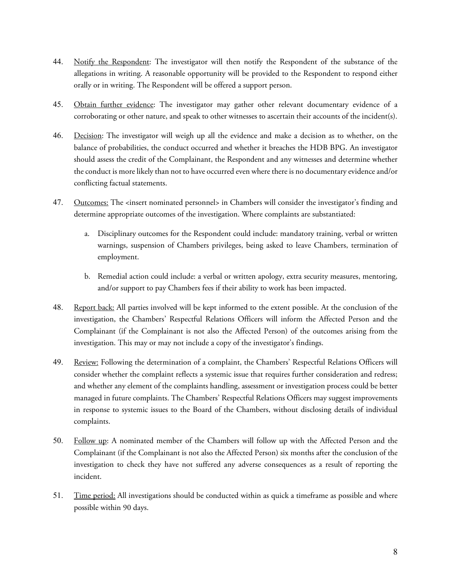- 44. Notify the Respondent: The investigator will then notify the Respondent of the substance of the allegations in writing. A reasonable opportunity will be provided to the Respondent to respond either orally or in writing. The Respondent will be offered a support person.
- 45. Obtain further evidence: The investigator may gather other relevant documentary evidence of a corroborating or other nature, and speak to other witnesses to ascertain their accounts of the incident(s).
- 46. Decision: The investigator will weigh up all the evidence and make a decision as to whether, on the balance of probabilities, the conduct occurred and whether it breaches the HDB BPG. An investigator should assess the credit of the Complainant, the Respondent and any witnesses and determine whether the conduct is more likely than not to have occurred even where there is no documentary evidence and/or conflicting factual statements.
- 47. Outcomes: The <insert nominated personnel> in Chambers will consider the investigator's finding and determine appropriate outcomes of the investigation. Where complaints are substantiated:
	- a. Disciplinary outcomes for the Respondent could include: mandatory training, verbal or written warnings, suspension of Chambers privileges, being asked to leave Chambers, termination of employment.
	- b. Remedial action could include: a verbal or written apology, extra security measures, mentoring, and/or support to pay Chambers fees if their ability to work has been impacted.
- 48. Report back: All parties involved will be kept informed to the extent possible. At the conclusion of the investigation, the Chambers' Respectful Relations Officers will inform the Affected Person and the Complainant (if the Complainant is not also the Affected Person) of the outcomes arising from the investigation. This may or may not include a copy of the investigator's findings.
- 49. Review: Following the determination of a complaint, the Chambers' Respectful Relations Officers will consider whether the complaint reflects a systemic issue that requires further consideration and redress; and whether any element of the complaints handling, assessment or investigation process could be better managed in future complaints. The Chambers' Respectful Relations Officers may suggest improvements in response to systemic issues to the Board of the Chambers, without disclosing details of individual complaints.
- 50. Follow up: A nominated member of the Chambers will follow up with the Affected Person and the Complainant (if the Complainant is not also the Affected Person) six months after the conclusion of the investigation to check they have not suffered any adverse consequences as a result of reporting the incident.
- 51. Time period: All investigations should be conducted within as quick a timeframe as possible and where possible within 90 days.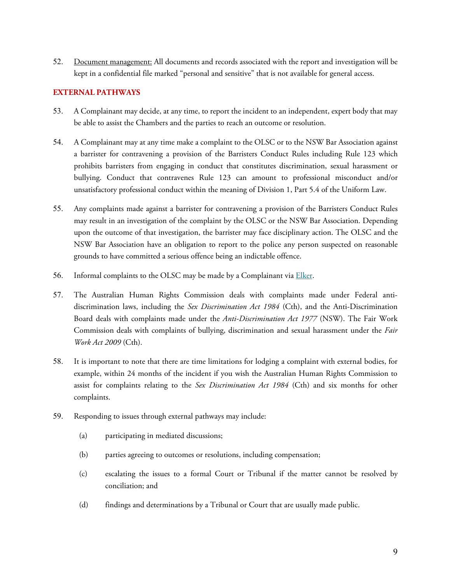52. Document management: All documents and records associated with the report and investigation will be kept in a confidential file marked "personal and sensitive" that is not available for general access.

# **EXTERNAL PATHWAYS**

- 53. A Complainant may decide, at any time, to report the incident to an independent, expert body that may be able to assist the Chambers and the parties to reach an outcome or resolution.
- 54. A Complainant may at any time make a complaint to the OLSC or to the NSW Bar Association against a barrister for contravening a provision of the Barristers Conduct Rules including Rule 123 which prohibits barristers from engaging in conduct that constitutes discrimination, sexual harassment or bullying. Conduct that contravenes Rule 123 can amount to professional misconduct and/or unsatisfactory professional conduct within the meaning of Division 1, Part 5.4 of the Uniform Law.
- 55. Any complaints made against a barrister for contravening a provision of the Barristers Conduct Rules may result in an investigation of the complaint by the OLSC or the NSW Bar Association. Depending upon the outcome of that investigation, the barrister may face disciplinary action. The OLSC and the NSW Bar Association have an obligation to report to the police any person suspected on reasonable grounds to have committed a serious offence being an indictable offence.
- 56. Informal complaints to the OLSC may be made by a Complainant via **Elker**.
- 57. The Australian Human Rights Commission deals with complaints made under Federal antidiscrimination laws, including the *Sex Discrimination Act 1984* (Cth), and the Anti-Discrimination Board deals with complaints made under the *Anti-Discrimination Act 1977* (NSW). The Fair Work Commission deals with complaints of bullying, discrimination and sexual harassment under the *Fair Work Act 2009* (Cth).
- 58. It is important to note that there are time limitations for lodging a complaint with external bodies, for example, within 24 months of the incident if you wish the Australian Human Rights Commission to assist for complaints relating to the *Sex Discrimination Act 1984* (Cth) and six months for other complaints.
- 59. Responding to issues through external pathways may include:
	- (a) participating in mediated discussions;
	- (b) parties agreeing to outcomes or resolutions, including compensation;
	- (c) escalating the issues to a formal Court or Tribunal if the matter cannot be resolved by conciliation; and
	- (d) findings and determinations by a Tribunal or Court that are usually made public.